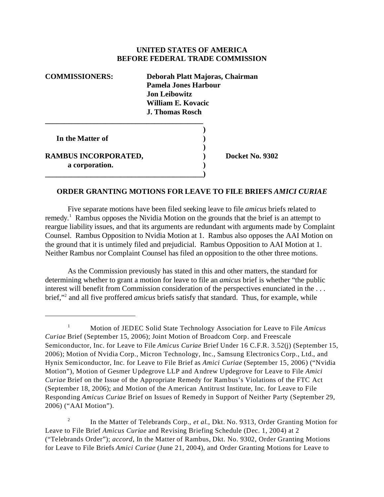## **UNITED STATES OF AMERICA BEFORE FEDERAL TRADE COMMISSION**

| <b>COMMISSIONERS:</b>       | Deborah Platt Majoras, Chairman |
|-----------------------------|---------------------------------|
|                             | Pamela Jones Harbour            |
|                             | Jon Leibowitz                   |
|                             | William E. Kovacic              |
|                             | J. Thomas Rosch                 |
|                             |                                 |
|                             |                                 |
| In the Matter of            |                                 |
|                             |                                 |
| <b>RAMBUS INCORPORATED,</b> | Docket No. 9302                 |
| a corporation.              |                                 |
|                             |                                 |

## **ORDER GRANTING MOTIONS FOR LEAVE TO FILE BRIEFS** *AMICI CURIAE*

Five separate motions have been filed seeking leave to file *amicus* briefs related to remedy.<sup>1</sup> Rambus opposes the Nividia Motion on the grounds that the brief is an attempt to reargue liability issues, and that its arguments are redundant with arguments made by Complaint Counsel. Rambus Opposition to Nvidia Motion at 1. Rambus also opposes the AAI Motion on the ground that it is untimely filed and prejudicial. Rambus Opposition to AAI Motion at 1. Neither Rambus nor Complaint Counsel has filed an opposition to the other three motions.

As the Commission previously has stated in this and other matters, the standard for determining whether to grant a motion for leave to file an *amicus* brief is whether "the public interest will benefit from Commission consideration of the perspectives enunciated in the . . . brief,"<sup>2</sup> and all five proffered *amicus* briefs satisfy that standard. Thus, for example, while

<sup>1</sup> Motion of JEDEC Solid State Technology Association for Leave to File *Amicus Curiae* Brief (September 15, 2006); Joint Motion of Broadcom Corp. and Freescale Semiconductor, Inc. for Leave to File *Amicus Curiae* Brief Under 16 C.F.R. 3.52(j) (September 15, 2006); Motion of Nvidia Corp., Micron Technology, Inc., Samsung Electronics Corp., Ltd., and Hynix Semiconductor, Inc. for Leave to File Brief as *Amici Curiae* (September 15, 2006) ("Nvidia Motion"), Motion of Gesmer Updegrove LLP and Andrew Updegrove for Leave to File *Amici Curiae* Brief on the Issue of the Appropriate Remedy for Rambus's Violations of the FTC Act (September 18, 2006); and Motion of the American Antitrust Institute, Inc. for Leave to File Responding *Amicus Curiae* Brief on Issues of Remedy in Support of Neither Party (September 29, 2006) ("AAI Motion").

<sup>&</sup>lt;sup>2</sup> In the Matter of Telebrands Corp., *et al.*, Dkt. No. 9313, Order Granting Motion for Leave to File Brief *Amicus Curiae* and Revising Briefing Schedule (Dec. 1, 2004) at 2 ("Telebrands Order"); *accord*, In the Matter of Rambus, Dkt. No. 9302, Order Granting Motions for Leave to File Briefs *Amici Curiae* (June 21, 2004), and Order Granting Motions for Leave to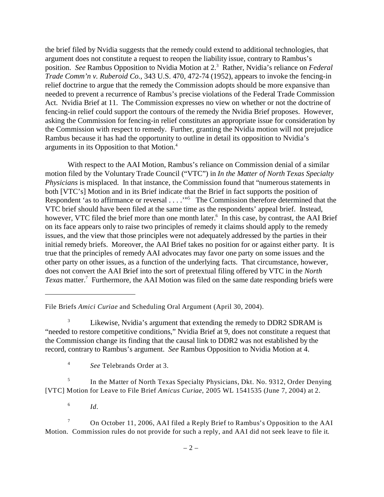the brief filed by Nvidia suggests that the remedy could extend to additional technologies, that argument does not constitute a request to reopen the liability issue, contrary to Rambus's position. *See* Rambus Opposition to Nvidia Motion at 2.3 Rather, Nvidia's reliance on *Federal Trade Comm'n v. Ruberoid Co.*, 343 U.S. 470, 472-74 (1952), appears to invoke the fencing-in relief doctrine to argue that the remedy the Commission adopts should be more expansive than needed to prevent a recurrence of Rambus's precise violations of the Federal Trade Commission Act. Nvidia Brief at 11. The Commission expresses no view on whether or not the doctrine of fencing-in relief could support the contours of the remedy the Nvidia Brief proposes. However, asking the Commission for fencing-in relief constitutes an appropriate issue for consideration by the Commission with respect to remedy. Further, granting the Nvidia motion will not prejudice Rambus because it has had the opportunity to outline in detail its opposition to Nvidia's arguments in its Opposition to that Motion.4

With respect to the AAI Motion, Rambus's reliance on Commission denial of a similar motion filed by the Voluntary Trade Council ("VTC") in *In the Matter of North Texas Specialty Physicians* is misplaced. In that instance, the Commission found that "numerous statements in both [VTC's] Motion and in its Brief indicate that the Brief in fact supports the position of Respondent 'as to affirmance or reversal . . . . . . . . . The Commission therefore determined that the VTC brief should have been filed at the same time as the respondents' appeal brief. Instead, however, VTC filed the brief more than one month later.<sup>6</sup> In this case, by contrast, the AAI Brief on its face appears only to raise two principles of remedy it claims should apply to the remedy issues, and the view that those principles were not adequately addressed by the parties in their initial remedy briefs. Moreover, the AAI Brief takes no position for or against either party. It is true that the principles of remedy AAI advocates may favor one party on some issues and the other party on other issues, as a function of the underlying facts. That circumstance, however, does not convert the AAI Brief into the sort of pretextual filing offered by VTC in the *North*  Texas matter.<sup>7</sup> Furthermore, the AAI Motion was filed on the same date responding briefs were

 $\frac{6}{10}$ 

7 On October 11, 2006, AAI filed a Reply Brief to Rambus's Opposition to the AAI Motion. Commission rules do not provide for such a reply, and AAI did not seek leave to file it.

File Briefs *Amici Curiae* and Scheduling Oral Argument (April 30, 2004).

<sup>&</sup>lt;sup>3</sup> Likewise, Nvidia's argument that extending the remedy to DDR2 SDRAM is "needed to restore competitive conditions," Nvidia Brief at 9, does not constitute a request that the Commission change its finding that the causal link to DDR2 was not established by the record, contrary to Rambus's argument. *See* Rambus Opposition to Nvidia Motion at 4.

<sup>4</sup>*See* Telebrands Order at 3.

<sup>&</sup>lt;sup>5</sup> In the Matter of North Texas Specialty Physicians, Dkt. No. 9312, Order Denying [VTC] Motion for Leave to File Brief *Amicus Curiae*, 2005 WL 1541535 (June 7, 2004) at 2.